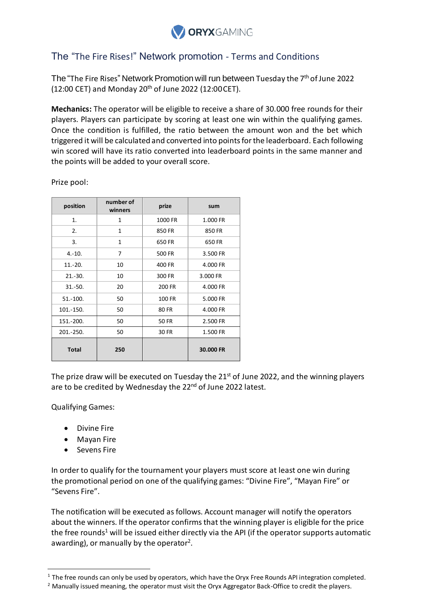

## The "The Fire Rises!" Network promotion - Terms and Conditions

The "The Fire Rises" Network Promotion will run between Tuesday the 7<sup>th</sup> of June 2022 (12:00 CET) and Monday 20<sup>th</sup> of June 2022 (12:00 CET).

**Mechanics:** The operator will be eligible to receive a share of 30.000 free rounds for their players. Players can participate by scoring at least one win within the qualifying games. Once the condition is fulfilled, the ratio between the amount won and the bet which triggered it will be calculated and converted into points for the leaderboard. Each following win scored will have its ratio converted into leaderboard points in the same manner and the points will be added to your overall score.

| position     | number of<br>winners | prize        | sum       |
|--------------|----------------------|--------------|-----------|
| 1.           | 1                    | 1000 FR      | 1.000 FR  |
| 2.           | 1                    | 850 FR       | 850 FR    |
| 3.           | 1                    | 650 FR       | 650 FR    |
| $4.-10.$     | 7                    | 500 FR       | 3.500 FR  |
| $11.-20.$    | 10                   | 400 FR       | 4.000 FR  |
| $21.-30.$    | 10                   | 300 FR       | 3.000 FR  |
| $31.-50.$    | 20                   | 200 FR       | 4.000 FR  |
| $51.-100.$   | 50                   | 100 FR       | 5.000 FR  |
| 101.-150.    | 50                   | 80 FR        | 4.000 FR  |
| 151.-200.    | 50                   | <b>50 FR</b> | 2.500 FR  |
| 201.-250.    | 50                   | 30 FR        | 1.500 FR  |
| <b>Total</b> | 250                  |              | 30.000 FR |

Prize pool:

The prize draw will be executed on Tuesday the 21<sup>st</sup> of June 2022, and the winning players are to be credited by Wednesday the 22<sup>nd</sup> of June 2022 latest.

Qualifying Games:

- Divine Fire
- Mayan Fire
- Sevens Fire

In order to qualify for the tournament your players must score at least one win during the promotional period on one of the qualifying games: "Divine Fire", "Mayan Fire" or "Sevens Fire".

The notification will be executed as follows. Account manager will notify the operators about the winners. If the operator confirms that the winning player is eligible for the price the free rounds<sup>1</sup> will be issued either directly via the API (if the operator supports automatic awarding), or manually by the operator<sup>2</sup>.

 $1$  The free rounds can only be used by operators, which have the Oryx Free Rounds API integration completed.

<sup>&</sup>lt;sup>2</sup> Manually issued meaning, the operator must visit the Oryx Aggregator Back-Office to credit the players.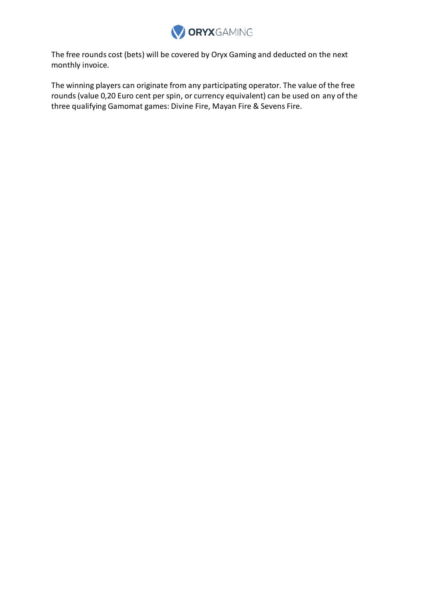

The free rounds cost (bets) will be covered by Oryx Gaming and deducted on the next monthly invoice.

The winning players can originate from any participating operator. The value of the free rounds (value 0,20 Euro cent per spin, or currency equivalent) can be used on any of the three qualifying Gamomat games: Divine Fire, Mayan Fire & Sevens Fire.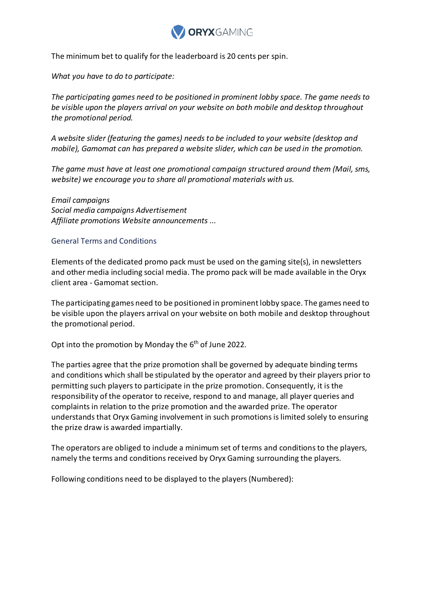

The minimum bet to qualify for the leaderboard is 20 cents per spin.

*What you have to do to participate:*

*The participating games need to be positioned in prominent lobby space. The game needs to be visible upon the players arrival on your website on both mobile and desktop throughout the promotional period.*

*A website slider (featuring the games) needs to be included to your website (desktop and mobile), Gamomat can has prepared a website slider, which can be used in the promotion.*

*The game must have at least one promotional campaign structured around them (Mail, sms, website) we encourage you to share all promotional materials with us.*

*Email campaigns Social media campaigns Advertisement Affiliate promotions Website announcements ...*

## General Terms and Conditions

Elements of the dedicated promo pack must be used on the gaming site(s), in newsletters and other media including social media. The promo pack will be made available in the Oryx client area - Gamomat section.

The participating games need to be positioned in prominent lobby space. The games need to be visible upon the players arrival on your website on both mobile and desktop throughout the promotional period.

Opt into the promotion by Monday the 6<sup>th</sup> of June 2022.

The parties agree that the prize promotion shall be governed by adequate binding terms and conditions which shall be stipulated by the operator and agreed by their players prior to permitting such players to participate in the prize promotion. Consequently, it is the responsibility of the operator to receive, respond to and manage, all player queries and complaints in relation to the prize promotion and the awarded prize. The operator understands that Oryx Gaming involvement in such promotions is limited solely to ensuring the prize draw is awarded impartially.

The operators are obliged to include a minimum set of terms and conditions to the players, namely the terms and conditions received by Oryx Gaming surrounding the players.

Following conditions need to be displayed to the players (Numbered):